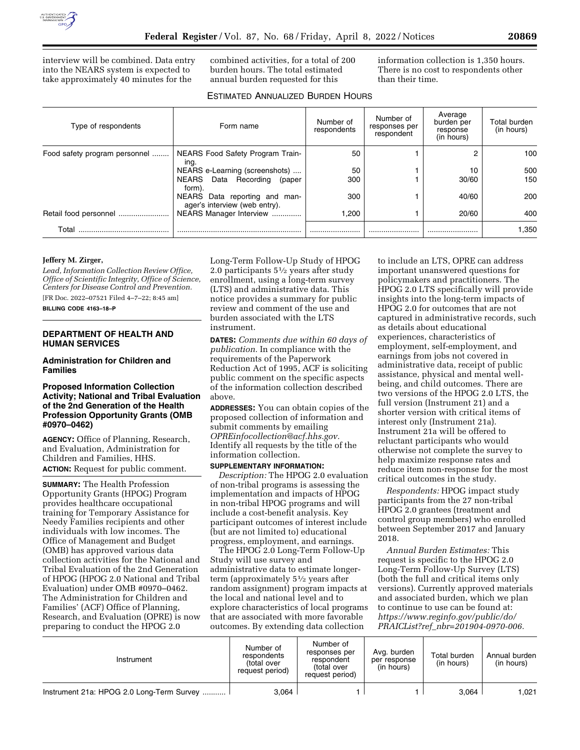

interview will be combined. Data entry into the NEARS system is expected to take approximately 40 minutes for the

combined activities, for a total of 200 burden hours. The total estimated annual burden requested for this

information collection is 1,350 hours. There is no cost to respondents other than their time.

# ESTIMATED ANNUALIZED BURDEN HOURS

| Type of respondents           | Form name                                                         | Number of<br>respondents | Number of<br>responses per<br>respondent | Average<br>burden per<br>response<br>(in hours) | Total burden<br>(in hours) |
|-------------------------------|-------------------------------------------------------------------|--------------------------|------------------------------------------|-------------------------------------------------|----------------------------|
| Food safety program personnel | NEARS Food Safety Program Train-<br>ing.                          | 50                       |                                          |                                                 | 100                        |
|                               | NEARS e-Learning (screenshots)                                    | 50                       |                                          | 10                                              | 500                        |
|                               | NEARS Data Recording<br>(paper<br>form).                          | 300                      |                                          | 30/60                                           | 150                        |
|                               | NEARS Data reporting and<br>man-<br>ager's interview (web entry). | 300                      |                                          | 40/60                                           | 200                        |
|                               | NEARS Manager Interview                                           | 1.200                    |                                          | 20/60                                           | 400                        |
| Total                         |                                                                   |                          |                                          |                                                 | 1.350                      |

### **Jeffery M. Zirger,**

*Lead, Information Collection Review Office, Office of Scientific Integrity, Office of Science, Centers for Disease Control and Prevention.*  [FR Doc. 2022–07521 Filed 4–7–22; 8:45 am]

**BILLING CODE 4163–18–P** 

### **DEPARTMENT OF HEALTH AND HUMAN SERVICES**

**Administration for Children and Families** 

#### **Proposed Information Collection Activity; National and Tribal Evaluation of the 2nd Generation of the Health Profession Opportunity Grants (OMB #0970–0462)**

**AGENCY:** Office of Planning, Research, and Evaluation, Administration for Children and Families, HHS. **ACTION:** Request for public comment.

**SUMMARY:** The Health Profession Opportunity Grants (HPOG) Program provides healthcare occupational training for Temporary Assistance for Needy Families recipients and other individuals with low incomes. The Office of Management and Budget (OMB) has approved various data collection activities for the National and Tribal Evaluation of the 2nd Generation of HPOG (HPOG 2.0 National and Tribal Evaluation) under OMB #0970–0462. The Administration for Children and Families' (ACF) Office of Planning, Research, and Evaluation (OPRE) is now preparing to conduct the HPOG 2.0

Long-Term Follow-Up Study of HPOG 2.0 participants 51⁄2 years after study enrollment, using a long-term survey (LTS) and administrative data. This notice provides a summary for public review and comment of the use and burden associated with the LTS instrument.

**DATES:** *Comments due within 60 days of publication.* In compliance with the requirements of the Paperwork Reduction Act of 1995, ACF is soliciting public comment on the specific aspects of the information collection described above.

**ADDRESSES:** You can obtain copies of the proposed collection of information and submit comments by emailing *[OPREinfocollection@acf.hhs.gov.](mailto:OPREinfocollection@acf.hhs.gov)*  Identify all requests by the title of the information collection.

# **SUPPLEMENTARY INFORMATION:**

*Description:* The HPOG 2.0 evaluation of non-tribal programs is assessing the implementation and impacts of HPOG in non-tribal HPOG programs and will include a cost-benefit analysis. Key participant outcomes of interest include (but are not limited to) educational progress, employment, and earnings.

The HPOG 2.0 Long-Term Follow-Up Study will use survey and administrative data to estimate longerterm (approximately 51⁄2 years after random assignment) program impacts at the local and national level and to explore characteristics of local programs that are associated with more favorable outcomes. By extending data collection

to include an LTS, OPRE can address important unanswered questions for policymakers and practitioners. The HPOG 2.0 LTS specifically will provide insights into the long-term impacts of HPOG 2.0 for outcomes that are not captured in administrative records, such as details about educational experiences, characteristics of employment, self-employment, and earnings from jobs not covered in administrative data, receipt of public assistance, physical and mental wellbeing, and child outcomes. There are two versions of the HPOG 2.0 LTS, the full version (Instrument 21) and a shorter version with critical items of interest only (Instrument 21a). Instrument 21a will be offered to reluctant participants who would otherwise not complete the survey to help maximize response rates and reduce item non-response for the most critical outcomes in the study.

*Respondents:* HPOG impact study participants from the 27 non-tribal HPOG 2.0 grantees (treatment and control group members) who enrolled between September 2017 and January 2018.

*Annual Burden Estimates:* This request is specific to the HPOG 2.0 Long-Term Follow-Up Survey (LTS) (both the full and critical items only versions). Currently approved materials and associated burden, which we plan to continue to use can be found at: *[https://www.reginfo.gov/public/do/](https://www.reginfo.gov/public/do/PRAICList?ref_nbr=201904-0970-006) PRAICList?ref*\_*[nbr=201904-0970-006.](https://www.reginfo.gov/public/do/PRAICList?ref_nbr=201904-0970-006)* 

| Instrument                                | Number of<br>respondents<br>total over<br>request period) | Number of<br>responses per<br>respondent<br>(total over<br>request period) | Avg. burden<br>per response<br>(in hours) | Total burden<br>(in hours) | Annual burden<br>(in hours) |
|-------------------------------------------|-----------------------------------------------------------|----------------------------------------------------------------------------|-------------------------------------------|----------------------------|-----------------------------|
| Instrument 21a: HPOG 2.0 Long-Term Survey | 3.064                                                     |                                                                            |                                           | 3.064                      | .021                        |